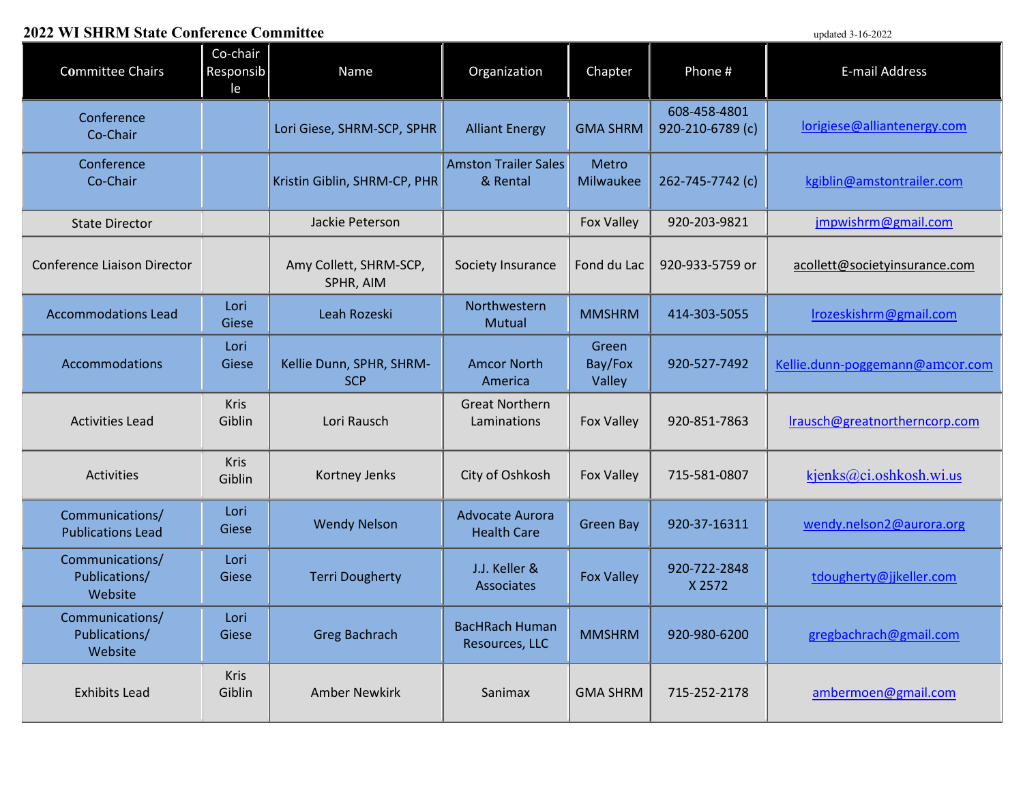## **2022 WI SHRM State Conference Committee** updated 3-16-2022

| <u>We see state</u> comercine committee     |                             |                                        |                                              |                            |                                  | upuana $J^{-1}U^{-2}U^{2}L$     |
|---------------------------------------------|-----------------------------|----------------------------------------|----------------------------------------------|----------------------------|----------------------------------|---------------------------------|
| <b>Committee Chairs</b>                     | Co-chair<br>Responsib<br>le | Name                                   | Organization                                 | Chapter                    | Phone #                          | E-mail Address                  |
| Conference<br>Co-Chair                      |                             | Lori Giese, SHRM-SCP, SPHR             | <b>Alliant Energy</b>                        | <b>GMA SHRM</b>            | 608-458-4801<br>920-210-6789 (c) | lorigiese@alliantenergy.com     |
| Conference<br>Co-Chair                      |                             | Kristin Giblin, SHRM-CP, PHR           | <b>Amston Trailer Sales</b><br>& Rental      | Metro<br>Milwaukee         | 262-745-7742 (c)                 | kgiblin@amstontrailer.com       |
| <b>State Director</b>                       |                             | Jackie Peterson                        |                                              | <b>Fox Valley</b>          | 920-203-9821                     | jmpwishrm@gmail.com             |
| <b>Conference Liaison Director</b>          |                             | Amy Collett, SHRM-SCP,<br>SPHR, AIM    | Society Insurance                            | Fond du Lac                | 920-933-5759 or                  | acollett@societyinsurance.com   |
| <b>Accommodations Lead</b>                  | Lori<br>Giese               | Leah Rozeski                           | Northwestern<br>Mutual                       | <b>MMSHRM</b>              | 414-303-5055                     | Irozeskishrm@gmail.com          |
| <b>Accommodations</b>                       | Lori<br>Giese               | Kellie Dunn, SPHR, SHRM-<br><b>SCP</b> | <b>Amcor North</b><br>America                | Green<br>Bay/Fox<br>Valley | 920-527-7492                     | Kellie.dunn-poggemann@amcor.com |
| <b>Activities Lead</b>                      | <b>Kris</b><br>Giblin       | Lori Rausch                            | <b>Great Northern</b><br>Laminations         | <b>Fox Valley</b>          | 920-851-7863                     | Irausch@greatnortherncorp.com   |
| Activities                                  | <b>Kris</b><br>Giblin       | Kortney Jenks                          | City of Oshkosh                              | <b>Fox Valley</b>          | 715-581-0807                     | kjenks@ci.oshkosh.wi.us         |
| Communications/<br><b>Publications Lead</b> | Lori<br>Giese               | <b>Wendy Nelson</b>                    | <b>Advocate Aurora</b><br><b>Health Care</b> | <b>Green Bay</b>           | 920-37-16311                     | wendy.nelson2@aurora.org        |
| Communications/<br>Publications/<br>Website | Lori<br>Giese               | <b>Terri Dougherty</b>                 | J.J. Keller &<br>Associates                  | <b>Fox Valley</b>          | 920-722-2848<br>X 2572           | tdougherty@jjkeller.com         |
| Communications/<br>Publications/<br>Website | Lori<br>Giese               | <b>Greg Bachrach</b>                   | <b>BacHRach Human</b><br>Resources, LLC      | <b>MMSHRM</b>              | 920-980-6200                     | gregbachrach@gmail.com          |
| <b>Exhibits Lead</b>                        | Kris<br>Giblin              | <b>Amber Newkirk</b>                   | Sanimax                                      | <b>GMA SHRM</b>            | 715-252-2178                     | ambermoen@gmail.com             |